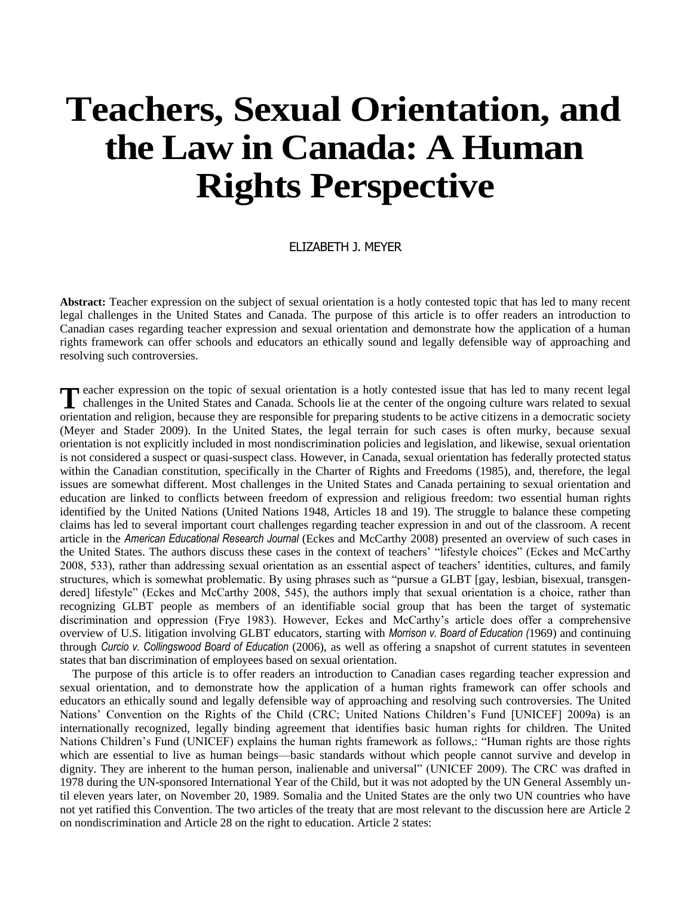# **Teachers, Sexual Orientation, and the Law in Canada: A Human Rights Perspective**

## ELIZABETH J. MEYER

**Abstract:** Teacher expression on the subject of sexual orientation is a hotly contested topic that has led to many recent legal challenges in the United States and Canada. The purpose of this article is to offer readers an introduction to Canadian cases regarding teacher expression and sexual orientation and demonstrate how the application of a human rights framework can offer schools and educators an ethically sound and legally defensible way of approaching and resolving such controversies.

eacher expression on the topic of sexual orientation is a hotly contested issue that has led to many recent legal challenges in the United States and Canada. Schools lie at the center of the ongoing culture wars related to sexual challenges in the United States and Canada. Schools lie at the center of the ongoing culture wars related orientation and religion, because they are responsible for preparing students to be active citizens in a democratic society (Meyer and Stader 2009). In the United States, the legal terrain for such cases is often murky, because sexual orientation is not explicitly included in most nondiscrimination policies and legislation, and likewise, sexual orientation is not considered a suspect or quasi-suspect class. However, in Canada, sexual orientation has federally protected status within the Canadian constitution, specifically in the Charter of Rights and Freedoms (1985), and, therefore, the legal issues are somewhat different. Most challenges in the United States and Canada pertaining to sexual orientation and education are linked to conflicts between freedom of expression and religious freedom: two essential human rights identified by the United Nations (United Nations 1948, Articles 18 and 19). The struggle to balance these competing claims has led to several important court challenges regarding teacher expression in and out of the classroom. A recent article in the *American Educational Research Journal* (Eckes and McCarthy 2008) presented an overview of such cases in the United States. The authors discuss these cases in the context of teachers' "lifestyle choices" (Eckes and McCarthy 2008, 533), rather than addressing sexual orientation as an essential aspect of teachers' identities, cultures, and family structures, which is somewhat problematic. By using phrases such as "pursue a GLBT [gay, lesbian, bisexual, transgendered] lifestyle" (Eckes and McCarthy 2008, 545), the authors imply that sexual orientation is a choice, rather than recognizing GLBT people as members of an identifiable social group that has been the target of systematic discrimination and oppression (Frye 1983). However, Eckes and McCarthy's article does offer a comprehensive overview of U.S. litigation involving GLBT educators, starting with *Morrison v. Board of Education (*1969) and continuing through *Curcio v. Collingswood Board of Education* (2006), as well as offering a snapshot of current statutes in seventeen states that ban discrimination of employees based on sexual orientation.

The purpose of this article is to offer readers an introduction to Canadian cases regarding teacher expression and sexual orientation, and to demonstrate how the application of a human rights framework can offer schools and educators an ethically sound and legally defensible way of approaching and resolving such controversies. The United Nations' Convention on the Rights of the Child (CRC; United Nations Children's Fund [UNICEF] 2009a) is an internationally recognized, legally binding agreement that identifies basic human rights for children. The United Nations Children's Fund (UNICEF) explains the human rights framework as follows,: "Human rights are those rights which are essential to live as human beings—basic standards without which people cannot survive and develop in dignity. They are inherent to the human person, inalienable and universal" (UNICEF 2009). The CRC was drafted in 1978 during the UN-sponsored International Year of the Child, but it was not adopted by the UN General Assembly until eleven years later, on November 20, 1989. Somalia and the United States are the only two UN countries who have not yet ratified this Convention. The two articles of the treaty that are most relevant to the discussion here are Article 2 on nondiscrimination and Article 28 on the right to education. Article 2 states: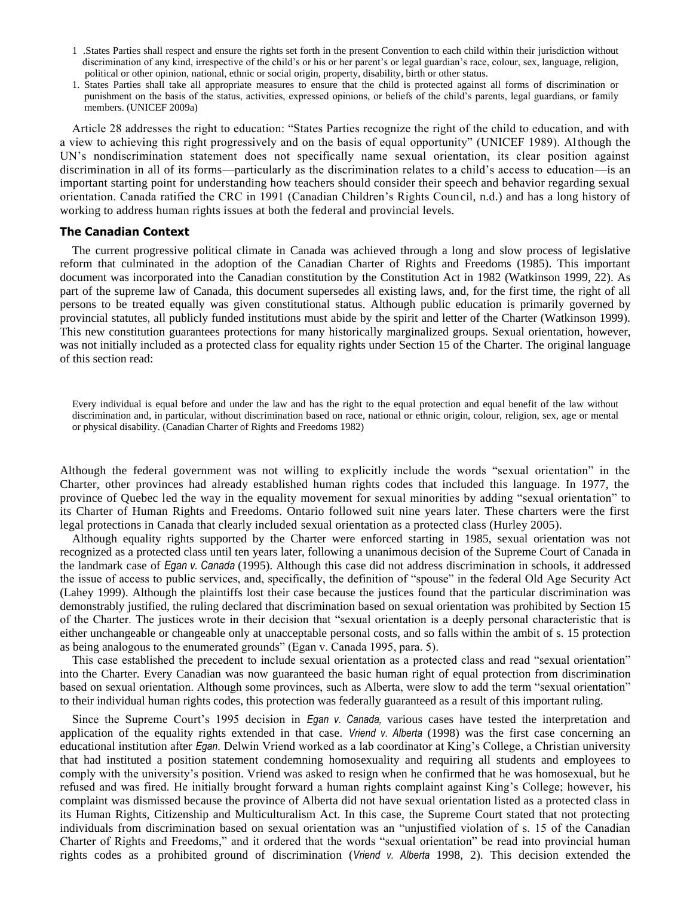- 1 .States Parties shall respect and ensure the rights set forth in the present Convention to each child within their jurisdiction without discrimination of any kind, irrespective of the child's or his or her parent's or legal guardian's race, colour, sex, language, religion, political or other opinion, national, ethnic or social origin, property, disability, birth or other status.
- 1. States Parties shall take all appropriate measures to ensure that the child is protected against all forms of discrimination or punishment on the basis of the status, activities, expressed opinions, or beliefs of the child's parents, legal guardians, or family members. (UNICEF 2009a)

Article 28 addresses the right to education: "States Parties recognize the right of the child to education, and with a view to achieving this right progressively and on the basis of equal opportunity" (UNICEF 1989). Although the UN's nondiscrimination statement does not specifically name sexual orientation, its clear position against discrimination in all of its forms—particularly as the discrimination relates to a child's access to education—is an important starting point for understanding how teachers should consider their speech and behavior regarding sexual orientation. Canada ratified the CRC in 1991 (Canadian Children's Rights Council, n.d.) and has a long history of working to address human rights issues at both the federal and provincial levels.

#### **The Canadian Context**

The current progressive political climate in Canada was achieved through a long and slow process of legislative reform that culminated in the adoption of the Canadian Charter of Rights and Freedoms (1985). This important document was incorporated into the Canadian constitution by the Constitution Act in 1982 (Watkinson 1999, 22). As part of the supreme law of Canada, this document supersedes all existing laws, and, for the first time, the right of all persons to be treated equally was given constitutional status. Although public education is primarily governed by provincial statutes, all publicly funded institutions must abide by the spirit and letter of the Charter (Watkinson 1999). This new constitution guarantees protections for many historically marginalized groups. Sexual orientation, however, was not initially included as a protected class for equality rights under Section 15 of the Charter. The original language of this section read:

Every individual is equal before and under the law and has the right to the equal protection and equal benefit of the law without discrimination and, in particular, without discrimination based on race, national or ethnic origin, colour, religion, sex, age or mental or physical disability. (Canadian Charter of Rights and Freedoms 1982)

Although the federal government was not willing to explicitly include the words "sexual orientation" in the Charter, other provinces had already established human rights codes that included this language. In 1977, the province of Quebec led the way in the equality movement for sexual minorities by adding "sexual orientation" to its Charter of Human Rights and Freedoms. Ontario followed suit nine years later. These charters were the first legal protections in Canada that clearly included sexual orientation as a protected class (Hurley 2005).

Although equality rights supported by the Charter were enforced starting in 1985, sexual orientation was not recognized as a protected class until ten years later, following a unanimous decision of the Supreme Court of Canada in the landmark case of *Egan v. Canada* (1995). Although this case did not address discrimination in schools, it addressed the issue of access to public services, and, specifically, the definition of "spouse" in the federal Old Age Security Act (Lahey 1999). Although the plaintiffs lost their case because the justices found that the particular discrimination was demonstrably justified, the ruling declared that discrimination based on sexual orientation was prohibited by Section 15 of the Charter. The justices wrote in their decision that "sexual orientation is a deeply personal characteristic that is either unchangeable or changeable only at unacceptable personal costs, and so falls within the ambit of s. 15 protection as being analogous to the enumerated grounds" (Egan v. Canada 1995, para. 5).

This case established the precedent to include sexual orientation as a protected class and read "sexual orientation" into the Charter. Every Canadian was now guaranteed the basic human right of equal protection from discrimination based on sexual orientation. Although some provinces, such as Alberta, were slow to add the term "sexual orientation" to their individual human rights codes, this protection was federally guaranteed as a result of this important ruling.

Since the Supreme Court's 1995 decision in *Egan v. Canada,* various cases have tested the interpretation and application of the equality rights extended in that case. *Vriend v. Alberta* (1998) was the first case concerning an educational institution after *Egan*. Delwin Vriend worked as a lab coordinator at King's College, a Christian university that had instituted a position statement condemning homosexuality and requiring all students and employees to comply with the university's position. Vriend was asked to resign when he confirmed that he was homosexual, but he refused and was fired. He initially brought forward a human rights complaint against King's College; however, his complaint was dismissed because the province of Alberta did not have sexual orientation listed as a protected class in its Human Rights, Citizenship and Multiculturalism Act. In this case, the Supreme Court stated that not protecting individuals from discrimination based on sexual orientation was an "unjustified violation of s. 15 of the Canadian Charter of Rights and Freedoms," and it ordered that the words "sexual orientation" be read into provincial human rights codes as a prohibited ground of discrimination (*Vriend v. Alberta* 1998, 2). This decision extended the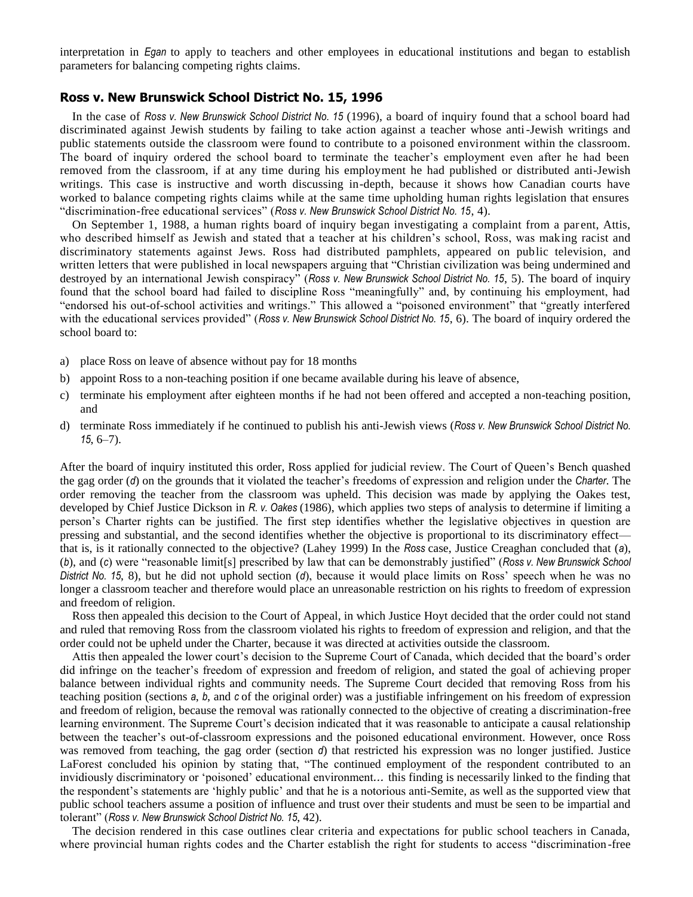interpretation in *Egan* to apply to teachers and other employees in educational institutions and began to establish parameters for balancing competing rights claims.

## **Ross v. New Brunswick School District No. 15, 1996**

In the case of *Ross v. New Brunswick School District No. 15* (1996), a board of inquiry found that a school board had discriminated against Jewish students by failing to take action against a teacher whose anti-Jewish writings and public statements outside the classroom were found to contribute to a poisoned environment within the classroom. The board of inquiry ordered the school board to terminate the teacher's employment even after he had been removed from the classroom, if at any time during his employment he had published or distributed anti-Jewish writings. This case is instructive and worth discussing in-depth, because it shows how Canadian courts have worked to balance competing rights claims while at the same time upholding human rights legislation that ensures "discrimination-free educational services" (*Ross v. New Brunswick School District No. 15*, 4).

On September 1, 1988, a human rights board of inquiry began investigating a complaint from a parent, Attis, who described himself as Jewish and stated that a teacher at his children's school, Ross, was making racist and discriminatory statements against Jews. Ross had distributed pamphlets, appeared on public television, and written letters that were published in local newspapers arguing that "Christian civilization was being undermined and destroyed by an international Jewish conspiracy" (*Ross v. New Brunswick School District No. 15*, 5). The board of inquiry found that the school board had failed to discipline Ross "meaningfully" and, by continuing his employment, had "endorsed his out-of-school activities and writings." This allowed a "poisoned environment" that "greatly interfered with the educational services provided" (*Ross v. New Brunswick School District No. 15*, 6). The board of inquiry ordered the school board to:

- a) place Ross on leave of absence without pay for 18 months
- b) appoint Ross to a non-teaching position if one became available during his leave of absence,
- c) terminate his employment after eighteen months if he had not been offered and accepted a non-teaching position, and
- d) terminate Ross immediately if he continued to publish his anti-Jewish views (*Ross v. New Brunswick School District No. 15*, 6–7).

After the board of inquiry instituted this order, Ross applied for judicial review. The Court of Queen's Bench quashed the gag order (*d*) on the grounds that it violated the teacher's freedoms of expression and religion under the *Charter*. The order removing the teacher from the classroom was upheld. This decision was made by applying the Oakes test, developed by Chief Justice Dickson in *R. v. Oakes* (1986), which applies two steps of analysis to determine if limiting a person's Charter rights can be justified. The first step identifies whether the legislative objectives in question are pressing and substantial, and the second identifies whether the objective is proportional to its discriminatory effect that is, is it rationally connected to the objective? (Lahey 1999) In the *Ross* case, Justice Creaghan concluded that (*a*), (*b*), and (*c*) were "reasonable limit[s] prescribed by law that can be demonstrably justified" (*Ross v. New Brunswick School District No. 15*, 8), but he did not uphold section (*d*), because it would place limits on Ross' speech when he was no longer a classroom teacher and therefore would place an unreasonable restriction on his rights to freedom of expression and freedom of religion.

Ross then appealed this decision to the Court of Appeal, in which Justice Hoyt decided that the order could not stand and ruled that removing Ross from the classroom violated his rights to freedom of expression and religion, and that the order could not be upheld under the Charter, because it was directed at activities outside the classroom.

Attis then appealed the lower court's decision to the Supreme Court of Canada, which decided that the board's order did infringe on the teacher's freedom of expression and freedom of religion, and stated the goal of achieving proper balance between individual rights and community needs. The Supreme Court decided that removing Ross from his teaching position (sections *a*, *b*, and *c* of the original order) was a justifiable infringement on his freedom of expression and freedom of religion, because the removal was rationally connected to the objective of creating a discrimination-free learning environment. The Supreme Court's decision indicated that it was reasonable to anticipate a causal relationship between the teacher's out-of-classroom expressions and the poisoned educational environment. However, once Ross was removed from teaching, the gag order (section *d*) that restricted his expression was no longer justified. Justice LaForest concluded his opinion by stating that, "The continued employment of the respondent contributed to an invidiously discriminatory or 'poisoned' educational environment*...* this finding is necessarily linked to the finding that the respondent's statements are 'highly public' and that he is a notorious anti-Semite, as well as the supported view that public school teachers assume a position of influence and trust over their students and must be seen to be impartial and tolerant" (*Ross v. New Brunswick School District No. 15*, 42).

The decision rendered in this case outlines clear criteria and expectations for public school teachers in Canada, where provincial human rights codes and the Charter establish the right for students to access "discrimination-free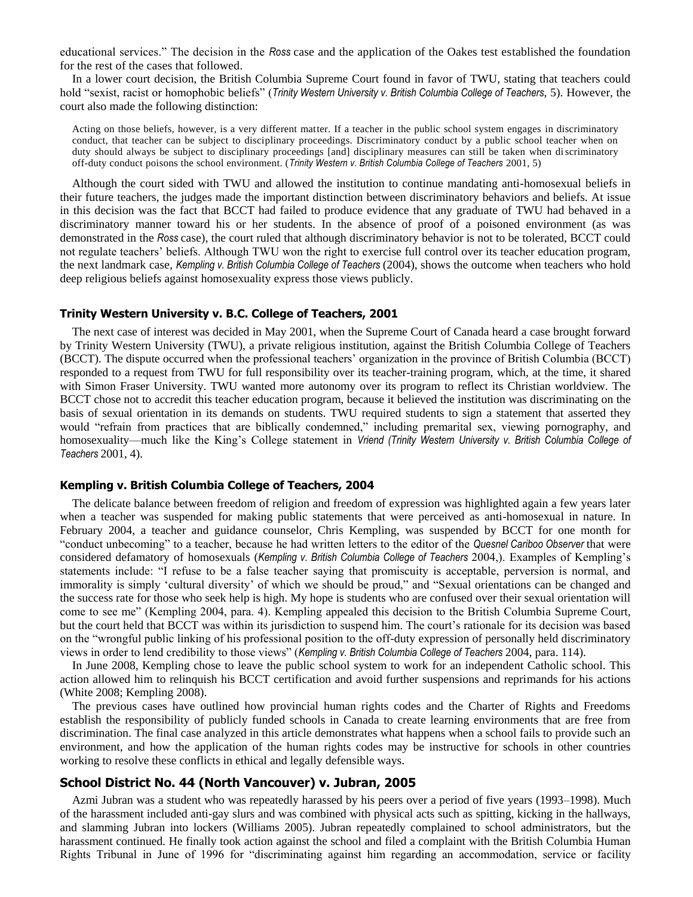educational services." The decision in the *Ross* case and the application of the Oakes test established the foundation for the rest of the cases that followed.

In a lower court decision, the British Columbia Supreme Court found in favor of TWU, stating that teachers could hold "sexist, racist or homophobic beliefs" (*Trinity Western University v. British Columbia College of Teachers*, 5). However, the court also made the following distinction:

Acting on those beliefs, however, is a very different matter. If a teacher in the public school system engages in discriminatory conduct, that teacher can be subject to disciplinary proceedings. Discriminatory conduct by a public school teacher when on duty should always be subject to disciplinary proceedings [and] disciplinary measures can still be taken when discriminatory off-duty conduct poisons the school environment. (*Trinity Western v. British Columbia College of Teachers* 2001, 5)

Although the court sided with TWU and allowed the institution to continue mandating anti-homosexual beliefs in their future teachers, the judges made the important distinction between discriminatory behaviors and beliefs. At issue in this decision was the fact that BCCT had failed to produce evidence that any graduate of TWU had behaved in a discriminatory manner toward his or her students. In the absence of proof of a poisoned environment (as was demonstrated in the *Ross* case), the court ruled that although discriminatory behavior is not to be tolerated, BCCT could not regulate teachers' beliefs. Although TWU won the right to exercise full control over its teacher education program, the next landmark case, *Kempling v. British Columbia College of Teachers* (2004), shows the outcome when teachers who hold deep religious beliefs against homosexuality express those views publicly.

#### **Trinity Western University v. B.C. College of Teachers, 2001**

The next case of interest was decided in May 2001, when the Supreme Court of Canada heard a case brought forward by Trinity Western University (TWU), a private religious institution, against the British Columbia College of Teachers (BCCT). The dispute occurred when the professional teachers' organization in the province of British Columbia (BCCT) responded to a request from TWU for full responsibility over its teacher-training program, which, at the time, it shared with Simon Fraser University. TWU wanted more autonomy over its program to reflect its Christian worldview. The BCCT chose not to accredit this teacher education program, because it believed the institution was discriminating on the basis of sexual orientation in its demands on students. TWU required students to sign a statement that asserted they would "refrain from practices that are biblically condemned," including premarital sex, viewing pornography, and homosexuality—much like the King's College statement in *Vriend (Trinity Western University v. British Columbia College of Teachers* 2001, 4).

#### **Kempling v. British Columbia College of Teachers, 2004**

The delicate balance between freedom of religion and freedom of expression was highlighted again a few years later when a teacher was suspended for making public statements that were perceived as anti-homosexual in nature. In February 2004, a teacher and guidance counselor, Chris Kempling, was suspended by BCCT for one month for "conduct unbecoming" to a teacher, because he had written letters to the editor of the *Quesnel Cariboo Observer* that were considered defamatory of homosexuals (*Kempling v. British Columbia College of Teachers* 2004,). Examples of Kempling's statements include: "I refuse to be a false teacher saying that promiscuity is acceptable, perversion is normal, and immorality is simply 'cultural diversity' of which we should be proud," and "Sexual orientations can be changed and the success rate for those who seek help is high. My hope is students who are confused over their sexual orientation will come to see me" (Kempling 2004, para. 4). Kempling appealed this decision to the British Columbia Supreme Court, but the court held that BCCT was within its jurisdiction to suspend him. The court's rationale for its decision was based on the "wrongful public linking of his professional position to the off-duty expression of personally held discriminatory views in order to lend credibility to those views" (*Kempling v. British Columbia College of Teachers* 2004, para. 114).

In June 2008, Kempling chose to leave the public school system to work for an independent Catholic school. This action allowed him to relinquish his BCCT certification and avoid further suspensions and reprimands for his actions (White 2008; Kempling 2008).

The previous cases have outlined how provincial human rights codes and the Charter of Rights and Freedoms establish the responsibility of publicly funded schools in Canada to create learning environments that are free from discrimination. The final case analyzed in this article demonstrates what happens when a school fails to provide such an environment, and how the application of the human rights codes may be instructive for schools in other countries working to resolve these conflicts in ethical and legally defensible ways.

### **School District No. 44 (North Vancouver) v. Jubran, 2005**

Azmi Jubran was a student who was repeatedly harassed by his peers over a period of five years (1993–1998). Much of the harassment included anti-gay slurs and was combined with physical acts such as spitting, kicking in the hallways, and slamming Jubran into lockers (Williams 2005). Jubran repeatedly complained to school administrators, but the harassment continued. He finally took action against the school and filed a complaint with the British Columbia Human Rights Tribunal in June of 1996 for "discriminating against him regarding an accommodation, service or facility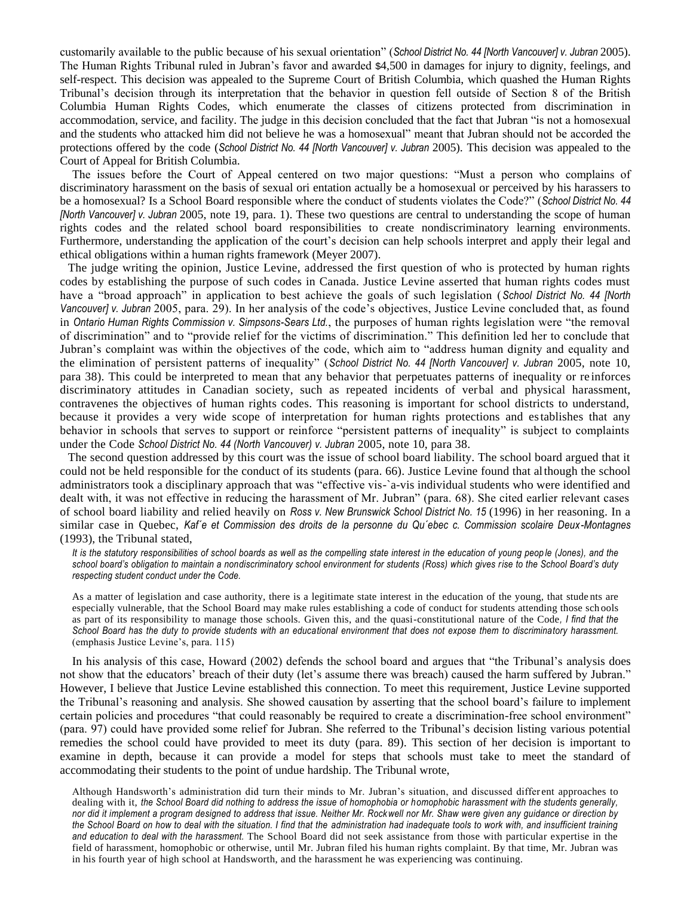customarily available to the public because of his sexual orientation" (*School District No. 44 [North Vancouver] v. Jubran* 2005). The Human Rights Tribunal ruled in Jubran's favor and awarded \$4,500 in damages for injury to dignity, feelings, and self-respect. This decision was appealed to the Supreme Court of British Columbia, which quashed the Human Rights Tribunal's decision through its interpretation that the behavior in question fell outside of Section 8 of the British Columbia Human Rights Codes, which enumerate the classes of citizens protected from discrimination in accommodation, service, and facility. The judge in this decision concluded that the fact that Jubran "is not a homosexual and the students who attacked him did not believe he was a homosexual" meant that Jubran should not be accorded the protections offered by the code (*School District No. 44 [North Vancouver] v. Jubran* 2005). This decision was appealed to the Court of Appeal for British Columbia.

The issues before the Court of Appeal centered on two major questions: "Must a person who complains of discriminatory harassment on the basis of sexual ori entation actually be a homosexual or perceived by his harassers to be a homosexual? Is a School Board responsible where the conduct of students violates the Code?" (*School District No. 44 [North Vancouver] v. Jubran* 2005, note 19, para. 1). These two questions are central to understanding the scope of human rights codes and the related school board responsibilities to create nondiscriminatory learning environments. Furthermore, understanding the application of the court's decision can help schools interpret and apply their legal and ethical obligations within a human rights framework (Meyer 2007).

The judge writing the opinion, Justice Levine, addressed the first question of who is protected by human rights codes by establishing the purpose of such codes in Canada. Justice Levine asserted that human rights codes must have a "broad approach" in application to best achieve the goals of such legislation (*School District No. 44 [North Vancouver] v. Jubran* 2005, para. 29). In her analysis of the code's objectives, Justice Levine concluded that, as found in *Ontario Human Rights Commission v. Simpsons-Sears Ltd.*, the purposes of human rights legislation were "the removal of discrimination" and to "provide relief for the victims of discrimination." This definition led her to conclude that Jubran's complaint was within the objectives of the code, which aim to "address human dignity and equality and the elimination of persistent patterns of inequality" (*School District No. 44 [North Vancouver] v. Jubran* 2005, note 10, para 38). This could be interpreted to mean that any behavior that perpetuates patterns of inequality or re inforces discriminatory attitudes in Canadian society, such as repeated incidents of verbal and physical harassment, contravenes the objectives of human rights codes. This reasoning is important for school districts to understand, because it provides a very wide scope of interpretation for human rights protections and establishes that any behavior in schools that serves to support or reinforce "persistent patterns of inequality" is subject to complaints under the Code *School District No. 44 (North Vancouver) v. Jubran* 2005, note 10, para 38.

The second question addressed by this court was the issue of school board liability. The school board argued that it could not be held responsible for the conduct of its students (para. 66). Justice Levine found that although the school administrators took a disciplinary approach that was "effective vis-`a-vis individual students who were identified and dealt with, it was not effective in reducing the harassment of Mr. Jubran" (para. 68). She cited earlier relevant cases of school board liability and relied heavily on *Ross v. New Brunswick School District No. 15* (1996) in her reasoning. In a similar case in Quebec, *Kaf´e et Commission des droits de la personne du Qu´ebec c. Commission scolaire Deux-Montagnes*  (1993), the Tribunal stated,

*It is the statutory responsibilities of school boards as well as the compelling state interest in the education of young peop le (Jones), and the school board's obligation to maintain a nondiscriminatory school environment for students (Ross) which gives rise to the School Board's duty respecting student conduct under the Code.*

As a matter of legislation and case authority, there is a legitimate state interest in the education of the young, that stude nts are especially vulnerable, that the School Board may make rules establishing a code of conduct for students attending those sch ools as part of its responsibility to manage those schools. Given this, and the quasi-constitutional nature of the Code*, I find that the School Board has the duty to provide students with an educational environment that does not expose them to discriminatory harassment.*  (emphasis Justice Levine's, para. 115)

In his analysis of this case, Howard (2002) defends the school board and argues that "the Tribunal's analysis does not show that the educators' breach of their duty (let's assume there was breach) caused the harm suffered by Jubran." However, I believe that Justice Levine established this connection. To meet this requirement, Justice Levine supported the Tribunal's reasoning and analysis. She showed causation by asserting that the school board's failure to implement certain policies and procedures "that could reasonably be required to create a discrimination-free school environment" (para. 97) could have provided some relief for Jubran. She referred to the Tribunal's decision listing various potential remedies the school could have provided to meet its duty (para. 89). This section of her decision is important to examine in depth, because it can provide a model for steps that schools must take to meet the standard of accommodating their students to the point of undue hardship. The Tribunal wrote,

Although Handsworth's administration did turn their minds to Mr. Jubran's situation, and discussed differ ent approaches to dealing with it, *the School Board did nothing to address the issue of homophobia or homophobic harassment with the students generally, nor did it implement a program designed to address that issue. Neither Mr. Rockwell nor Mr. Shaw were given any guidance or direction by the School Board on how to deal with the situation. I find that the administration had inadequate tools to work with, and insufficient training and education to deal with the harassment.* The School Board did not seek assistance from those with particular expertise in the field of harassment, homophobic or otherwise, until Mr. Jubran filed his human rights complaint. By that time, Mr. Jubran was in his fourth year of high school at Handsworth, and the harassment he was experiencing was continuing.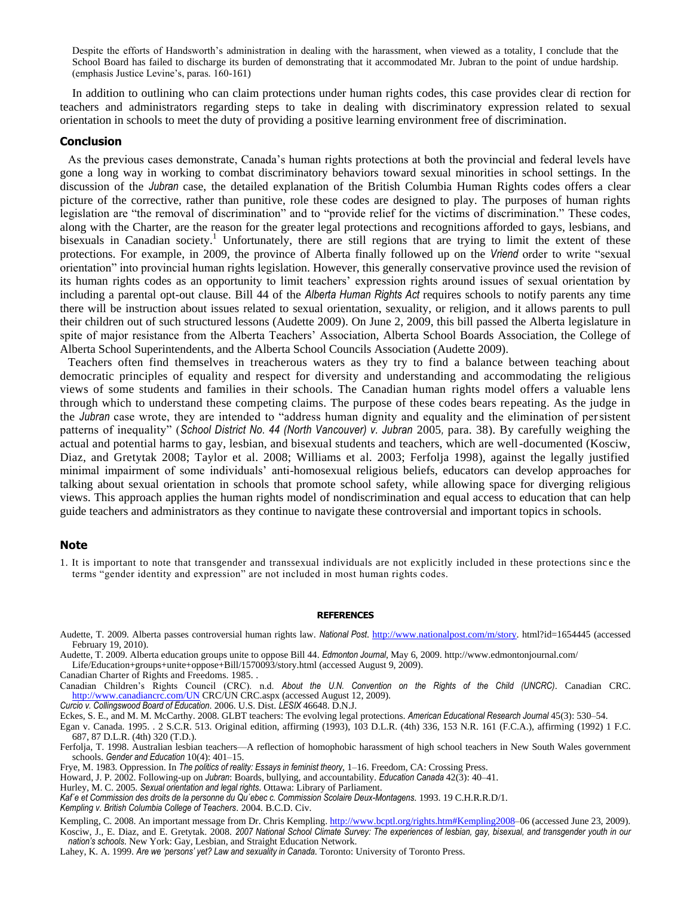Despite the efforts of Handsworth's administration in dealing with the harassment, when viewed as a totality, I conclude that the School Board has failed to discharge its burden of demonstrating that it accommodated Mr. Jubran to the point of undue hardship. (emphasis Justice Levine's, paras. 160-161)

In addition to outlining who can claim protections under human rights codes, this case provides clear di rection for teachers and administrators regarding steps to take in dealing with discriminatory expression related to sexual orientation in schools to meet the duty of providing a positive learning environment free of discrimination.

#### **Conclusion**

As the previous cases demonstrate, Canada's human rights protections at both the provincial and federal levels have gone a long way in working to combat discriminatory behaviors toward sexual minorities in school settings. In the discussion of the *Jubran* case, the detailed explanation of the British Columbia Human Rights codes offers a clear picture of the corrective, rather than punitive, role these codes are designed to play. The purposes of human rights legislation are "the removal of discrimination" and to "provide relief for the victims of discrimination." These codes, along with the Charter, are the reason for the greater legal protections and recognitions afforded to gays, lesbians, and bisexuals in Canadian society.<sup>1</sup> Unfortunately, there are still regions that are trying to limit the extent of these protections. For example, in 2009, the province of Alberta finally followed up on the *Vriend* order to write "sexual orientation" into provincial human rights legislation. However, this generally conservative province used the revision of its human rights codes as an opportunity to limit teachers' expression rights around issues of sexual orientation by including a parental opt-out clause. Bill 44 of the *Alberta Human Rights Act* requires schools to notify parents any time there will be instruction about issues related to sexual orientation, sexuality, or religion, and it allows parents to pull their children out of such structured lessons (Audette 2009). On June 2, 2009, this bill passed the Alberta legislature in spite of major resistance from the Alberta Teachers' Association, Alberta School Boards Association, the College of Alberta School Superintendents, and the Alberta School Councils Association (Audette 2009).

Teachers often find themselves in treacherous waters as they try to find a balance between teaching about democratic principles of equality and respect for diversity and understanding and accommodating the religious views of some students and families in their schools. The Canadian human rights model offers a valuable lens through which to understand these competing claims. The purpose of these codes bears repeating. As the judge in the *Jubran* case wrote, they are intended to "address human dignity and equality and the elimination of persistent patterns of inequality" (*School District No. 44 (North Vancouver) v. Jubran* 2005*,* para. 38). By carefully weighing the actual and potential harms to gay, lesbian, and bisexual students and teachers, which are well-documented (Kosciw, Diaz, and Gretytak 2008; Taylor et al. 2008; Williams et al. 2003; Ferfolja 1998), against the legally justified minimal impairment of some individuals' anti-homosexual religious beliefs, educators can develop approaches for talking about sexual orientation in schools that promote school safety, while allowing space for diverging religious views. This approach applies the human rights model of nondiscrimination and equal access to education that can help guide teachers and administrators as they continue to navigate these controversial and important topics in schools.

## **Note**

1. It is important to note that transgender and transsexual individuals are not explicitly included in these protections sinc e the terms "gender identity and expression" are not included in most human rights codes.

#### **REFERENCES**

- Audette, T. 2009. Alberta passes controversial human rights law. *National Post*. [http://www.nationalpost.com/m/story.](http://www.nationalpost.com/m/story) html?id=1654445 (accessed February 19, 2010).
- Audette, T. 2009. Alberta education groups unite to oppose Bill 44. *Edmonton Journal*, May 6, 2009. http://www.edmontonjournal.com/
- Life/Education+groups+unite+oppose+Bill/1570093/story.html (accessed August 9, 2009).
- Canadian Charter of Rights and Freedoms. 1985. .
- Canadian Children's Rights Council (CRC). n.d. *About the U.N. Convention on the Rights of the Child (UNCRC)*. Canadian CRC. <http://www.canadiancrc.com/UN> CRC/UN CRC.aspx (accessed August 12, 2009).

*Curcio v. Collingswood Board of Education*. 2006. U.S. Dist. *LESIX* 46648. D.N.J.

- Eckes, S. E., and M. M. McCarthy. 2008. GLBT teachers: The evolving legal protections. *American Educational Research Journal* 45(3): 530–54.
- Egan v. Canada. 1995. . 2 S.C.R. 513. Original edition, affirming (1993), 103 D.L.R. (4th) 336, 153 N.R. 161 (F.C.A.), affirming (1992) 1 F.C. 687, 87 D.L.R. (4th) 320 (T.D.).
- Ferfolja, T. 1998. Australian lesbian teachers—A reflection of homophobic harassment of high school teachers in New South Wales government schools. *Gender and Education* 10(4): 401–15.
- Frye, M. 1983. Oppression. In *The politics of reality: Essays in feminist theory*, 1–16. Freedom, CA: Crossing Press.
- Howard, J. P. 2002. Following-up on *Jubran*: Boards, bullying, and accountability. *Education Canada* 42(3): 40–41.
- Hurley, M. C. 2005. *Sexual orientation and legal rights*. Ottawa: Library of Parliament.
- *Kaf´e et Commission des droits de la personne du Qu´ebec c. Commission Scolaire Deux-Montagens*. 1993. 19 C.H.R.R.D/1.
- *Kempling v. British Columbia College of Teachers*. 2004. B.C.D. Civ.

Kempling, C. 2008. An important message from Dr. Chris Kempling[. http://www.bcptl.org/rights.htm#Kempling2008–](http://www.bcptl.org/rights.htm#Kempling2008)06 (accessed June 23, 2009). Kosciw, J., E. Diaz, and E. Gretytak. 2008. *2007 National School Climate Survey: The experiences of lesbian, gay, bisexual, and transgender youth in our nation's schools*. New York: Gay, Lesbian, and Straight Education Network.

Lahey, K. A. 1999. *Are we 'persons' yet? Law and sexuality in Canada*. Toronto: University of Toronto Press.